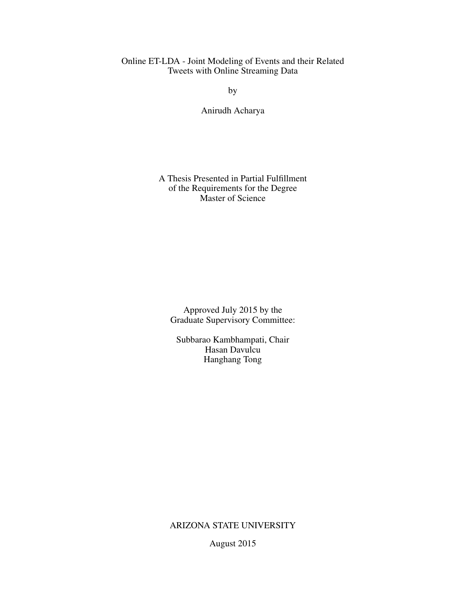# Online ET-LDA - Joint Modeling of Events and their Related Tweets with Online Streaming Data

by

Anirudh Acharya

## A Thesis Presented in Partial Fulfillment of the Requirements for the Degree Master of Science

Approved July 2015 by the Graduate Supervisory Committee:

Subbarao Kambhampati, Chair Hasan Davulcu Hanghang Tong

ARIZONA STATE UNIVERSITY

August 2015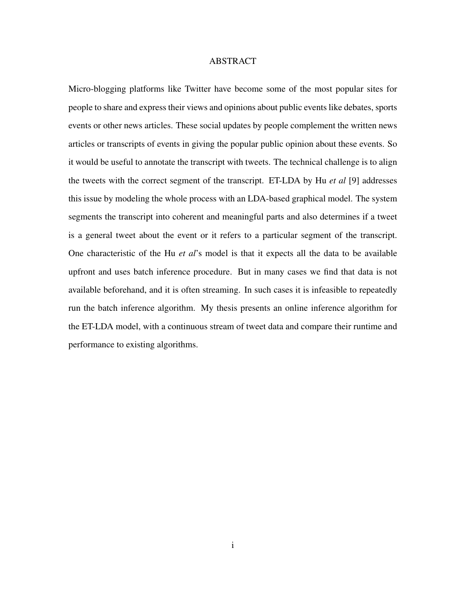### ABSTRACT

Micro-blogging platforms like Twitter have become some of the most popular sites for people to share and express their views and opinions about public events like debates, sports events or other news articles. These social updates by people complement the written news articles or transcripts of events in giving the popular public opinion about these events. So it would be useful to annotate the transcript with tweets. The technical challenge is to align the tweets with the correct segment of the transcript. ET-LDA by Hu *et al* [9] addresses this issue by modeling the whole process with an LDA-based graphical model. The system segments the transcript into coherent and meaningful parts and also determines if a tweet is a general tweet about the event or it refers to a particular segment of the transcript. One characteristic of the Hu *et al*'s model is that it expects all the data to be available upfront and uses batch inference procedure. But in many cases we find that data is not available beforehand, and it is often streaming. In such cases it is infeasible to repeatedly run the batch inference algorithm. My thesis presents an online inference algorithm for the ET-LDA model, with a continuous stream of tweet data and compare their runtime and performance to existing algorithms.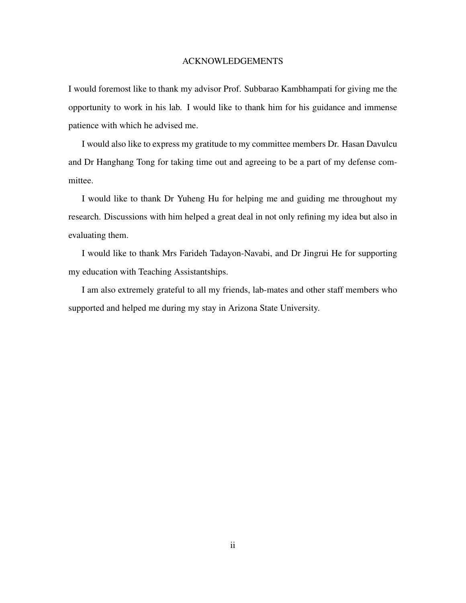### ACKNOWLEDGEMENTS

I would foremost like to thank my advisor Prof. Subbarao Kambhampati for giving me the opportunity to work in his lab. I would like to thank him for his guidance and immense patience with which he advised me.

I would also like to express my gratitude to my committee members Dr. Hasan Davulcu and Dr Hanghang Tong for taking time out and agreeing to be a part of my defense committee.

I would like to thank Dr Yuheng Hu for helping me and guiding me throughout my research. Discussions with him helped a great deal in not only refining my idea but also in evaluating them.

I would like to thank Mrs Farideh Tadayon-Navabi, and Dr Jingrui He for supporting my education with Teaching Assistantships.

I am also extremely grateful to all my friends, lab-mates and other staff members who supported and helped me during my stay in Arizona State University.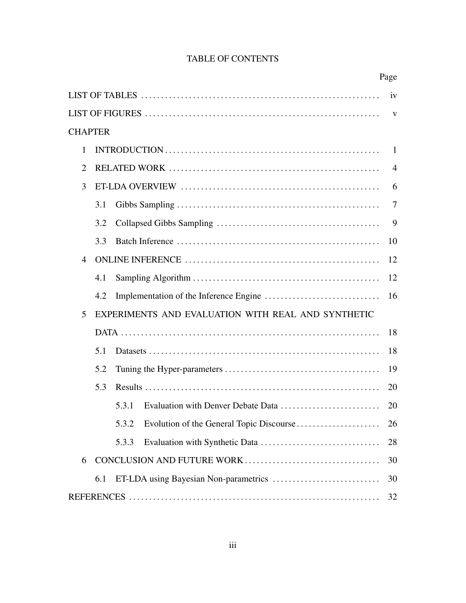| <b>TABLE OF CONTENTS</b> |  |
|--------------------------|--|
|--------------------------|--|

|   |                |                                                    | Page           |
|---|----------------|----------------------------------------------------|----------------|
|   |                |                                                    | iv             |
|   |                |                                                    | V              |
|   | <b>CHAPTER</b> |                                                    |                |
| 1 |                |                                                    | -1             |
| 2 |                |                                                    | $\overline{4}$ |
| 3 |                |                                                    | 6              |
|   | 3.1            |                                                    | 7              |
|   | 3.2            |                                                    | 9              |
|   | 3.3            |                                                    | 10             |
| 4 |                |                                                    | 12             |
|   | 4.1            |                                                    | 12             |
|   | 4.2            |                                                    | 16             |
| 5 |                | EXPERIMENTS AND EVALUATION WITH REAL AND SYNTHETIC |                |
|   |                |                                                    | 18             |
|   | 5.1            |                                                    | 18             |
|   | 5.2            |                                                    | 19             |
|   | 5.3            |                                                    | 20             |
|   |                | 5.3.1                                              | 20             |
|   |                | 5.3.2                                              | 26             |
|   |                | 5.3.3                                              | 28             |
| 6 |                |                                                    | 30             |
|   | 6.1            |                                                    | 30             |
|   |                |                                                    | 32             |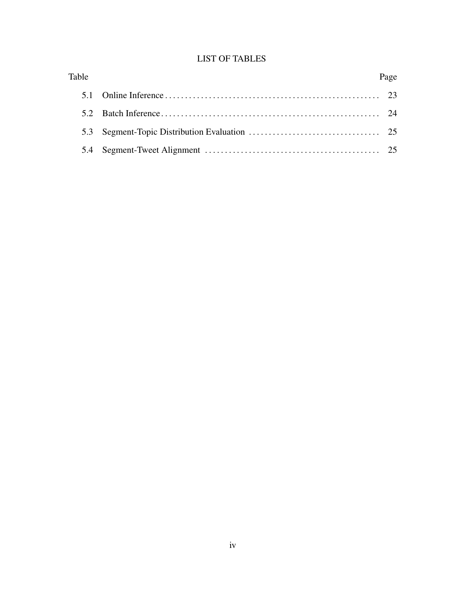# LIST OF TABLES

| Table | Page |
|-------|------|
|       |      |
|       |      |
|       |      |
|       |      |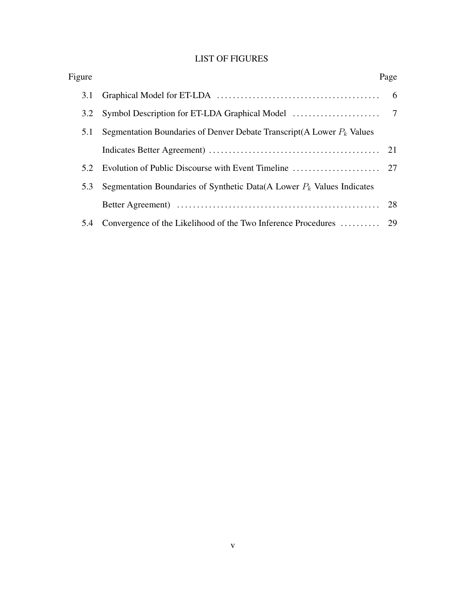# LIST OF FIGURES

| Figure |                                                                          | Page |
|--------|--------------------------------------------------------------------------|------|
| 3.1    |                                                                          |      |
| 3.2    |                                                                          |      |
| 5.1    | Segmentation Boundaries of Denver Debate Transcript(A Lower $P_k$ Values |      |
|        |                                                                          |      |
| 5.2    |                                                                          |      |
| 5.3    | Segmentation Boundaries of Synthetic Data(A Lower $P_k$ Values Indicates |      |
|        |                                                                          |      |
| 5.4    |                                                                          |      |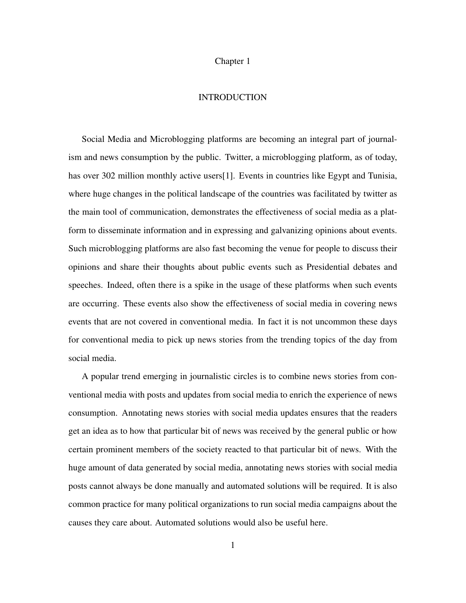# Chapter 1

### INTRODUCTION

Social Media and Microblogging platforms are becoming an integral part of journalism and news consumption by the public. Twitter, a microblogging platform, as of today, has over 302 million monthly active users[1]. Events in countries like Egypt and Tunisia, where huge changes in the political landscape of the countries was facilitated by twitter as the main tool of communication, demonstrates the effectiveness of social media as a platform to disseminate information and in expressing and galvanizing opinions about events. Such microblogging platforms are also fast becoming the venue for people to discuss their opinions and share their thoughts about public events such as Presidential debates and speeches. Indeed, often there is a spike in the usage of these platforms when such events are occurring. These events also show the effectiveness of social media in covering news events that are not covered in conventional media. In fact it is not uncommon these days for conventional media to pick up news stories from the trending topics of the day from social media.

A popular trend emerging in journalistic circles is to combine news stories from conventional media with posts and updates from social media to enrich the experience of news consumption. Annotating news stories with social media updates ensures that the readers get an idea as to how that particular bit of news was received by the general public or how certain prominent members of the society reacted to that particular bit of news. With the huge amount of data generated by social media, annotating news stories with social media posts cannot always be done manually and automated solutions will be required. It is also common practice for many political organizations to run social media campaigns about the causes they care about. Automated solutions would also be useful here.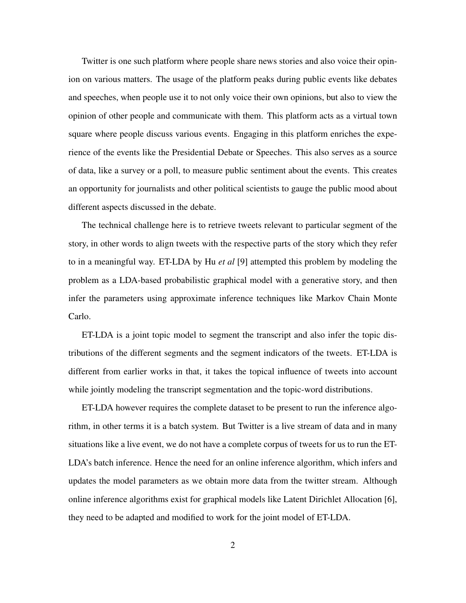Twitter is one such platform where people share news stories and also voice their opinion on various matters. The usage of the platform peaks during public events like debates and speeches, when people use it to not only voice their own opinions, but also to view the opinion of other people and communicate with them. This platform acts as a virtual town square where people discuss various events. Engaging in this platform enriches the experience of the events like the Presidential Debate or Speeches. This also serves as a source of data, like a survey or a poll, to measure public sentiment about the events. This creates an opportunity for journalists and other political scientists to gauge the public mood about different aspects discussed in the debate.

The technical challenge here is to retrieve tweets relevant to particular segment of the story, in other words to align tweets with the respective parts of the story which they refer to in a meaningful way. ET-LDA by Hu *et al* [9] attempted this problem by modeling the problem as a LDA-based probabilistic graphical model with a generative story, and then infer the parameters using approximate inference techniques like Markov Chain Monte Carlo.

ET-LDA is a joint topic model to segment the transcript and also infer the topic distributions of the different segments and the segment indicators of the tweets. ET-LDA is different from earlier works in that, it takes the topical influence of tweets into account while jointly modeling the transcript segmentation and the topic-word distributions.

ET-LDA however requires the complete dataset to be present to run the inference algorithm, in other terms it is a batch system. But Twitter is a live stream of data and in many situations like a live event, we do not have a complete corpus of tweets for us to run the ET-LDA's batch inference. Hence the need for an online inference algorithm, which infers and updates the model parameters as we obtain more data from the twitter stream. Although online inference algorithms exist for graphical models like Latent Dirichlet Allocation [6], they need to be adapted and modified to work for the joint model of ET-LDA.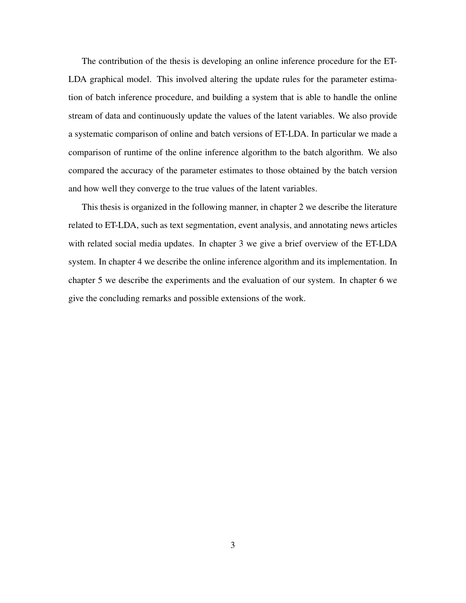The contribution of the thesis is developing an online inference procedure for the ET-LDA graphical model. This involved altering the update rules for the parameter estimation of batch inference procedure, and building a system that is able to handle the online stream of data and continuously update the values of the latent variables. We also provide a systematic comparison of online and batch versions of ET-LDA. In particular we made a comparison of runtime of the online inference algorithm to the batch algorithm. We also compared the accuracy of the parameter estimates to those obtained by the batch version and how well they converge to the true values of the latent variables.

This thesis is organized in the following manner, in chapter 2 we describe the literature related to ET-LDA, such as text segmentation, event analysis, and annotating news articles with related social media updates. In chapter 3 we give a brief overview of the ET-LDA system. In chapter 4 we describe the online inference algorithm and its implementation. In chapter 5 we describe the experiments and the evaluation of our system. In chapter 6 we give the concluding remarks and possible extensions of the work.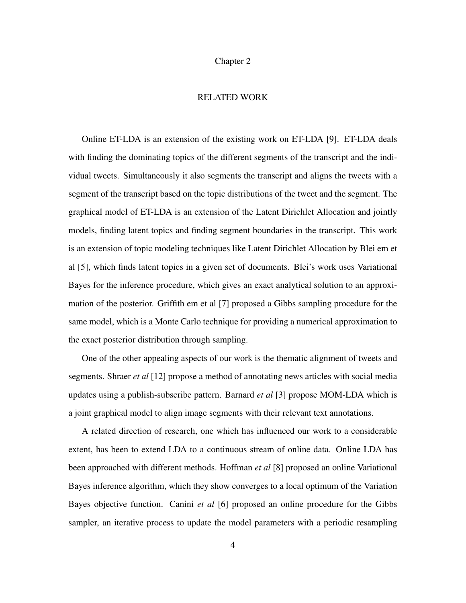### Chapter 2

### RELATED WORK

Online ET-LDA is an extension of the existing work on ET-LDA [9]. ET-LDA deals with finding the dominating topics of the different segments of the transcript and the individual tweets. Simultaneously it also segments the transcript and aligns the tweets with a segment of the transcript based on the topic distributions of the tweet and the segment. The graphical model of ET-LDA is an extension of the Latent Dirichlet Allocation and jointly models, finding latent topics and finding segment boundaries in the transcript. This work is an extension of topic modeling techniques like Latent Dirichlet Allocation by Blei em et al [5], which finds latent topics in a given set of documents. Blei's work uses Variational Bayes for the inference procedure, which gives an exact analytical solution to an approximation of the posterior. Griffith em et al [7] proposed a Gibbs sampling procedure for the same model, which is a Monte Carlo technique for providing a numerical approximation to the exact posterior distribution through sampling.

One of the other appealing aspects of our work is the thematic alignment of tweets and segments. Shraer *et al* [12] propose a method of annotating news articles with social media updates using a publish-subscribe pattern. Barnard *et al* [3] propose MOM-LDA which is a joint graphical model to align image segments with their relevant text annotations.

A related direction of research, one which has influenced our work to a considerable extent, has been to extend LDA to a continuous stream of online data. Online LDA has been approached with different methods. Hoffman *et al* [8] proposed an online Variational Bayes inference algorithm, which they show converges to a local optimum of the Variation Bayes objective function. Canini *et al* [6] proposed an online procedure for the Gibbs sampler, an iterative process to update the model parameters with a periodic resampling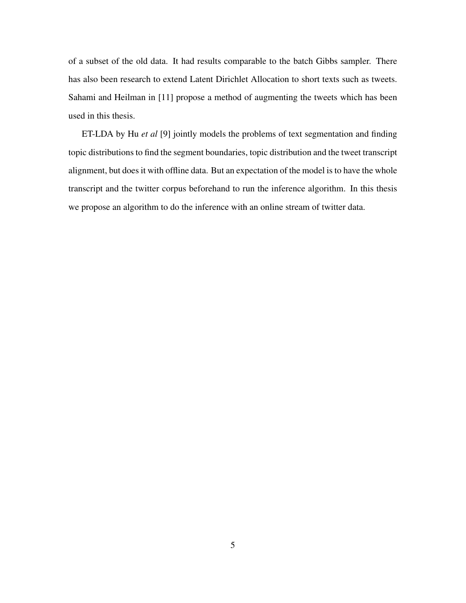of a subset of the old data. It had results comparable to the batch Gibbs sampler. There has also been research to extend Latent Dirichlet Allocation to short texts such as tweets. Sahami and Heilman in [11] propose a method of augmenting the tweets which has been used in this thesis.

ET-LDA by Hu *et al* [9] jointly models the problems of text segmentation and finding topic distributions to find the segment boundaries, topic distribution and the tweet transcript alignment, but does it with offline data. But an expectation of the model is to have the whole transcript and the twitter corpus beforehand to run the inference algorithm. In this thesis we propose an algorithm to do the inference with an online stream of twitter data.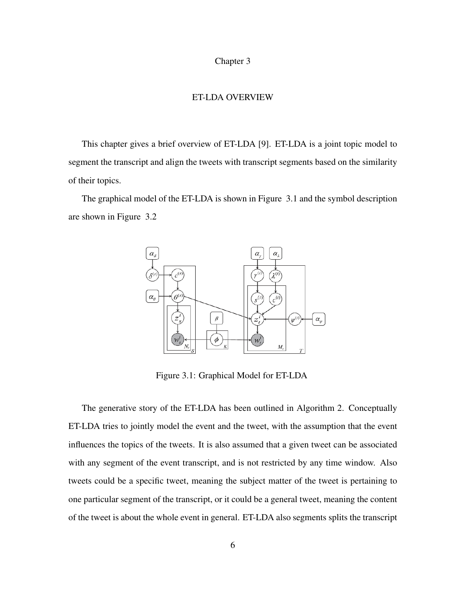### Chapter 3

#### ET-LDA OVERVIEW

This chapter gives a brief overview of ET-LDA [9]. ET-LDA is a joint topic model to segment the transcript and align the tweets with transcript segments based on the similarity of their topics.

The graphical model of the ET-LDA is shown in Figure 3.1 and the symbol description are shown in Figure 3.2



Figure 3.1: Graphical Model for ET-LDA

The generative story of the ET-LDA has been outlined in Algorithm 2. Conceptually ET-LDA tries to jointly model the event and the tweet, with the assumption that the event influences the topics of the tweets. It is also assumed that a given tweet can be associated with any segment of the event transcript, and is not restricted by any time window. Also tweets could be a specific tweet, meaning the subject matter of the tweet is pertaining to one particular segment of the transcript, or it could be a general tweet, meaning the content of the tweet is about the whole event in general. ET-LDA also segments splits the transcript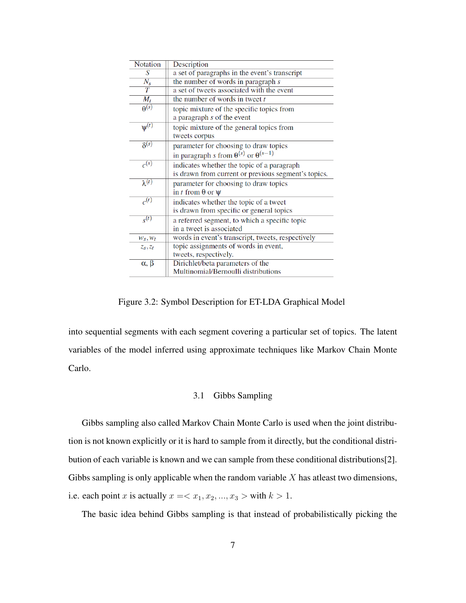| <b>Notation</b>         | Description                                            |  |
|-------------------------|--------------------------------------------------------|--|
| S                       | a set of paragraphs in the event's transcript          |  |
| $N_{\rm s}$             | the number of words in paragraph s                     |  |
| $\overline{T}$          | a set of tweets associated with the event              |  |
| $M_t$                   | the number of words in tweet $t$                       |  |
| $\theta^{(s)}$          | topic mixture of the specific topics from              |  |
|                         | a paragraph $s$ of the event                           |  |
| $\overline{\psi^{(t)}}$ | topic mixture of the general topics from               |  |
|                         | tweets corpus                                          |  |
| $\delta^{(s)}$          | parameter for choosing to draw topics                  |  |
|                         | in paragraph s from $\theta^{(s)}$ or $\theta^{(s-1)}$ |  |
| $c^{(s)}$               | indicates whether the topic of a paragraph             |  |
|                         | is drawn from current or previous segment's topics.    |  |
| $\lambda^{(t)}$         | parameter for choosing to draw topics                  |  |
|                         | in t from $\theta$ or $\psi$                           |  |
| $c^{(t)}$               | indicates whether the topic of a tweet                 |  |
|                         | is drawn from specific or general topics               |  |
| $s^{(t)}$               | a referred segment, to which a specific topic          |  |
|                         | in a tweet is associated                               |  |
| $W_S, W_t$              | words in event's transcript, tweets, respectively      |  |
| $z_s, z_t$              | topic assignments of words in event,                   |  |
|                         | tweets, respectively.                                  |  |
| $\alpha, \beta$         | Dirichlet/beta parameters of the                       |  |
|                         | Multinomial/Bernoulli distributions                    |  |

Figure 3.2: Symbol Description for ET-LDA Graphical Model

into sequential segments with each segment covering a particular set of topics. The latent variables of the model inferred using approximate techniques like Markov Chain Monte Carlo.

#### 3.1 Gibbs Sampling

Gibbs sampling also called Markov Chain Monte Carlo is used when the joint distribution is not known explicitly or it is hard to sample from it directly, but the conditional distribution of each variable is known and we can sample from these conditional distributions[2]. Gibbs sampling is only applicable when the random variable  $X$  has atleast two dimensions, i.e. each point x is actually  $x = \langle x_1, x_2, ..., x_3 \rangle$  with  $k > 1$ .

The basic idea behind Gibbs sampling is that instead of probabilistically picking the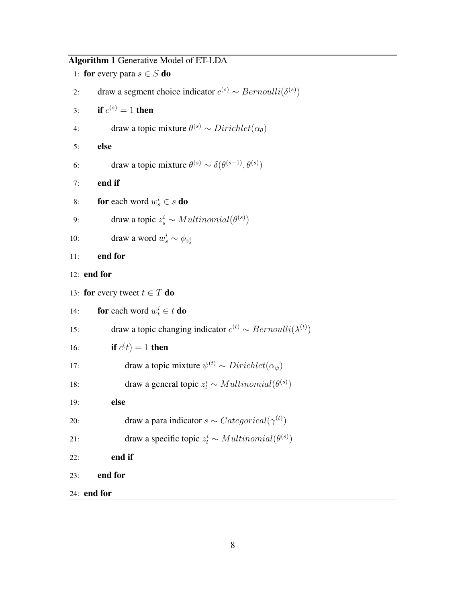Algorithm 1 Generative Model of ET-LDA

|     | 1: for every para $s \in S$ do                                                |
|-----|-------------------------------------------------------------------------------|
| 2:  | draw a segment choice indicator $c^{(s)} \sim Bernoulli(\delta^{(s)})$        |
| 3:  | if $c^{(s)} = 1$ then                                                         |
| 4:  | draw a topic mixture $\theta^{(s)} \sim Dirichlet(\alpha_{\theta})$           |
| 5:  | else                                                                          |
| 6:  | draw a topic mixture $\theta^{(s)} \sim \delta(\theta^{(s-1)}, \theta^{(s)})$ |
| 7:  | end if                                                                        |
| 8:  | <b>for</b> each word $w_s^i \in s$ <b>do</b>                                  |
| 9:  | draw a topic $z_s^i \sim Multinomial(\theta^{(s)})$                           |
| 10: | draw a word $w_s^i \sim \phi_{z_s^i}$                                         |
| 11: | end for                                                                       |
|     | $12:$ end for                                                                 |
|     | 13: for every tweet $t \in T$ do                                              |
| 14: | <b>for</b> each word $w_t^i \in t$ <b>do</b>                                  |
| 15: | draw a topic changing indicator $c^{(t)} \sim Bernoulli(\lambda^{(t)})$       |
| 16: | if $c(t) = 1$ then                                                            |
| 17: | draw a topic mixture $\psi^{(t)} \sim Dirichlet(\alpha_{\psi})$               |
| 18: | draw a general topic $z_t^i \sim Multinomial(\theta^{(s)})$                   |
| 19: | else                                                                          |
| 20: | draw a para indicator $s \sim Categorical(\gamma^{(t)})$                      |
| 21: | draw a specific topic $z_t^i \sim Multinomial(\theta^{(s)})$                  |
| 22: | end if                                                                        |
| 23: | end for                                                                       |
|     | $24:$ end for                                                                 |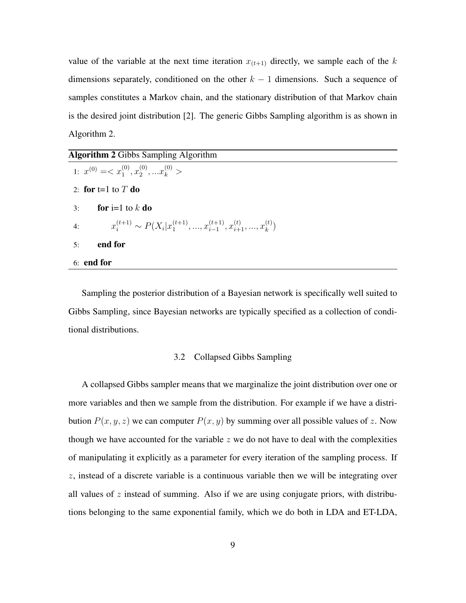value of the variable at the next time iteration  $x_{(t+1)}$  directly, we sample each of the k dimensions separately, conditioned on the other  $k - 1$  dimensions. Such a sequence of samples constitutes a Markov chain, and the stationary distribution of that Markov chain is the desired joint distribution [2]. The generic Gibbs Sampling algorithm is as shown in Algorithm 2.

| <b>Algorithm 2</b> Gibbs Sampling Algorithm                                                  |  |
|----------------------------------------------------------------------------------------------|--|
| 1: $x^{(0)} = \langle x_1^{(0)}, x_2^{(0)}, \dots x_k^{(0)} \rangle$                         |  |
| 2: for t=1 to $T$ do                                                                         |  |
| for i=1 to k do<br>3:                                                                        |  |
| $x_i^{(t+1)} \sim P(X_i   x_1^{(t+1)}, , x_{i-1}^{(t+1)}, x_{i+1}^{(t)}, , x_k^{(t)})$<br>4: |  |
| end for<br>5:                                                                                |  |
| $6:$ end for                                                                                 |  |

Sampling the posterior distribution of a Bayesian network is specifically well suited to Gibbs Sampling, since Bayesian networks are typically specified as a collection of conditional distributions.

### 3.2 Collapsed Gibbs Sampling

A collapsed Gibbs sampler means that we marginalize the joint distribution over one or more variables and then we sample from the distribution. For example if we have a distribution  $P(x, y, z)$  we can computer  $P(x, y)$  by summing over all possible values of z. Now though we have accounted for the variable  $z$  we do not have to deal with the complexities of manipulating it explicitly as a parameter for every iteration of the sampling process. If  $z$ , instead of a discrete variable is a continuous variable then we will be integrating over all values of  $z$  instead of summing. Also if we are using conjugate priors, with distributions belonging to the same exponential family, which we do both in LDA and ET-LDA,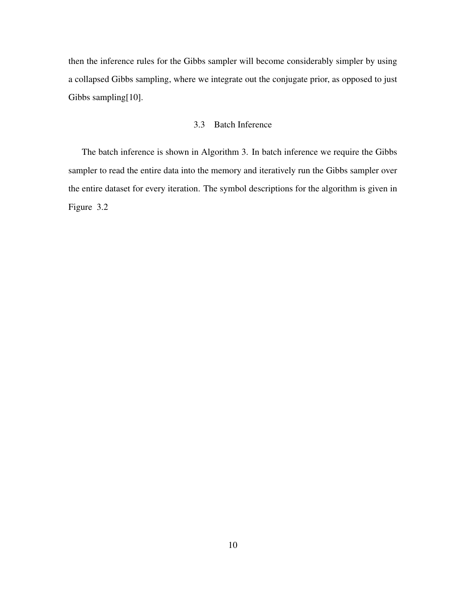then the inference rules for the Gibbs sampler will become considerably simpler by using a collapsed Gibbs sampling, where we integrate out the conjugate prior, as opposed to just Gibbs sampling[10].

# 3.3 Batch Inference

The batch inference is shown in Algorithm 3. In batch inference we require the Gibbs sampler to read the entire data into the memory and iteratively run the Gibbs sampler over the entire dataset for every iteration. The symbol descriptions for the algorithm is given in Figure 3.2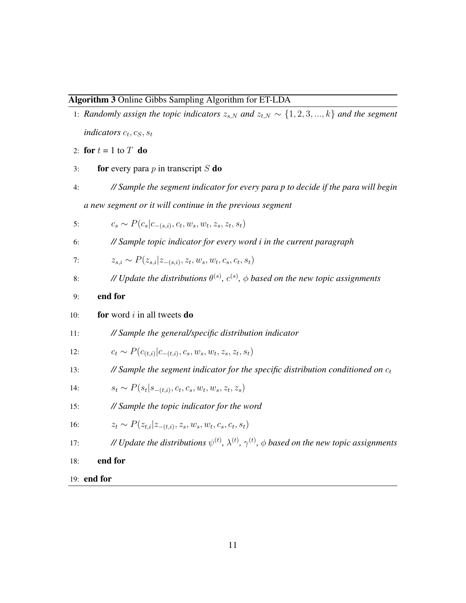### Algorithm 3 Online Gibbs Sampling Algorithm for ET-LDA

- 1: *Randomly assign the topic indicators*  $z_{s,N}$  *and*  $z_{t,N} \sim \{1,2,3,...,k\}$  *and the segment indicators*  $c_t$ ,  $c_S$ ,  $s_t$
- 2: for  $t = 1$  to  $T$  do
- 3: **for** every para p in transcript S **do**
- 4: *// Sample the segment indicator for every para p to decide if the para will begin a new segment or it will continue in the previous segment*

5: 
$$
c_s \sim P(c_s|c_{-(s,i)}, c_t, w_s, w_t, z_s, z_t, s_t)
$$

6: *// Sample topic indicator for every word i in the current paragraph*

7: 
$$
z_{s,i} \sim P(z_{s,i}|z_{-(s,i)}, z_t, w_s, w_t, c_s, c_t, s_t)
$$

- 8: *// Update the distributions*  $\theta^{(s)}$ ,  $c^{(s)}$ ,  $\phi$  based on the new topic assignments
- 9: end for
- 10: **for** word i in all tweets **do**
- 11: *// Sample the general/specific distribution indicator*

12: 
$$
c_t \sim P(c_{(t,i)}|c_{-(t,i)}, c_s, w_s, w_t, z_s, z_t, s_t)
$$

13: *// Sample the segment indicator for the specific distribution conditioned on*  $c_t$ 

14: 
$$
s_t \sim P(s_t | s_{-(t,i)}, c_t, c_s, w_t, w_s, z_t, z_s)
$$

15: *// Sample the topic indicator for the word*

16: 
$$
z_t \sim P(z_{t,i}|z_{-(t,i)}, z_s, w_s, w_t, c_s, c_t, s_t)
$$

- 17: *<i>// Update the distributions*  $\psi^{(t)}$ ,  $\lambda^{(t)}$ ,  $\gamma^{(t)}$ ,  $\phi$  based on the new topic assignments
- 18: end for
- 19: end for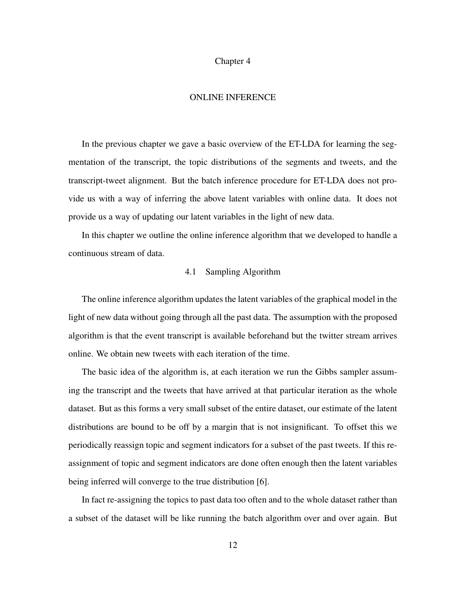### Chapter 4

### ONLINE INFERENCE

In the previous chapter we gave a basic overview of the ET-LDA for learning the segmentation of the transcript, the topic distributions of the segments and tweets, and the transcript-tweet alignment. But the batch inference procedure for ET-LDA does not provide us with a way of inferring the above latent variables with online data. It does not provide us a way of updating our latent variables in the light of new data.

In this chapter we outline the online inference algorithm that we developed to handle a continuous stream of data.

## 4.1 Sampling Algorithm

The online inference algorithm updates the latent variables of the graphical model in the light of new data without going through all the past data. The assumption with the proposed algorithm is that the event transcript is available beforehand but the twitter stream arrives online. We obtain new tweets with each iteration of the time.

The basic idea of the algorithm is, at each iteration we run the Gibbs sampler assuming the transcript and the tweets that have arrived at that particular iteration as the whole dataset. But as this forms a very small subset of the entire dataset, our estimate of the latent distributions are bound to be off by a margin that is not insignificant. To offset this we periodically reassign topic and segment indicators for a subset of the past tweets. If this reassignment of topic and segment indicators are done often enough then the latent variables being inferred will converge to the true distribution [6].

In fact re-assigning the topics to past data too often and to the whole dataset rather than a subset of the dataset will be like running the batch algorithm over and over again. But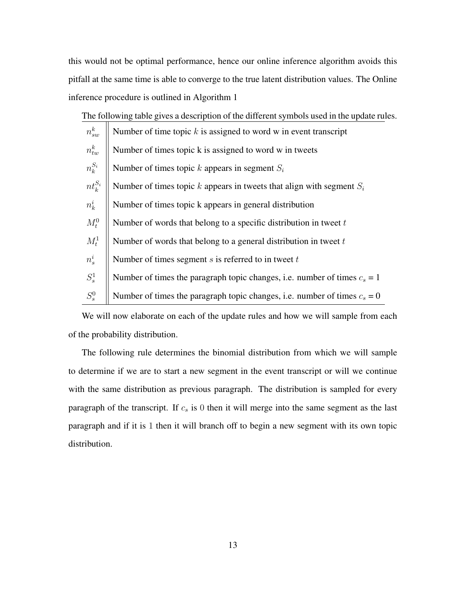this would not be optimal performance, hence our online inference algorithm avoids this pitfall at the same time is able to converge to the true latent distribution values. The Online inference procedure is outlined in Algorithm 1

The following table gives a description of the different symbols used in the update rules.

| $n_{sw}^k$   | Number of time topic $k$ is assigned to word w in event transcript          |  |
|--------------|-----------------------------------------------------------------------------|--|
| $n^k_{tw}$   | Number of times topic k is assigned to word w in tweets                     |  |
| $n_k^{S_i}$  | Number of times topic k appears in segment $S_i$                            |  |
| $nt_k^{S_i}$ | Number of times topic k appears in tweets that align with segment $S_i$     |  |
| $n_k^i$      | Number of times topic k appears in general distribution                     |  |
| $M_t^0$      | Number of words that belong to a specific distribution in tweet $t$         |  |
| $M_t^1$      | Number of words that belong to a general distribution in tweet $t$          |  |
| $n_s^i$      | Number of times segment $s$ is referred to in tweet $t$                     |  |
| $S^1_s$      | Number of times the paragraph topic changes, i.e. number of times $c_s = 1$ |  |
| $S_s^0$      | Number of times the paragraph topic changes, i.e. number of times $c_s = 0$ |  |

We will now elaborate on each of the update rules and how we will sample from each of the probability distribution.

The following rule determines the binomial distribution from which we will sample to determine if we are to start a new segment in the event transcript or will we continue with the same distribution as previous paragraph. The distribution is sampled for every paragraph of the transcript. If  $c_s$  is 0 then it will merge into the same segment as the last paragraph and if it is 1 then it will branch off to begin a new segment with its own topic distribution.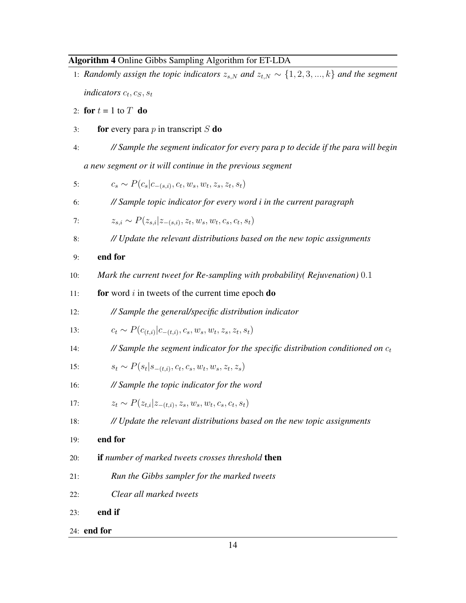## Algorithm 4 Online Gibbs Sampling Algorithm for ET-LDA

- 1: *Randomly assign the topic indicators*  $z_{s,N}$  *and*  $z_{t,N} \sim \{1,2,3,...,k\}$  *and the segment indicators*  $c_t$ ,  $c_S$ ,  $s_t$
- 2: for  $t = 1$  to  $T$  do
- 3: **for** every para p in transcript S **do**
- 4: *// Sample the segment indicator for every para p to decide if the para will begin a new segment or it will continue in the previous segment*

5: 
$$
c_s \sim P(c_s|c_{-(s,i)}, c_t, w_s, w_t, z_s, z_t, s_t)
$$

6: *// Sample topic indicator for every word i in the current paragraph*

7: 
$$
z_{s,i} \sim P(z_{s,i}|z_{-(s,i)}, z_t, w_s, w_t, c_s, c_t, s_t)
$$

- 8: *// Update the relevant distributions based on the new topic assignments*
- 9: end for
- 10: *Mark the current tweet for Re-sampling with probability( Rejuvenation)* 0.1
- 11: **for** word i in tweets of the current time epoch  $\bf{do}$
- 12: *// Sample the general/specific distribution indicator*

13: 
$$
c_t \sim P(c_{(t,i)}|c_{-(t,i)}, c_s, w_s, w_t, z_s, z_t, s_t)
$$

14: *// Sample the segment indicator for the specific distribution conditioned on*  $c_t$ 

15: 
$$
s_t \sim P(s_t | s_{-(t,i)}, c_t, c_s, w_t, w_s, z_t, z_s)
$$

16: *// Sample the topic indicator for the word*

17: 
$$
z_t \sim P(z_{t,i}|z_{-(t,i)}, z_s, w_s, w_t, c_s, c_t, s_t)
$$

- 18: *// Update the relevant distributions based on the new topic assignments*
- 19: end for
- 20: if *number of marked tweets crosses threshold* then
- 21: *Run the Gibbs sampler for the marked tweets*
- 22: *Clear all marked tweets*
- 23: end if
- 24: end for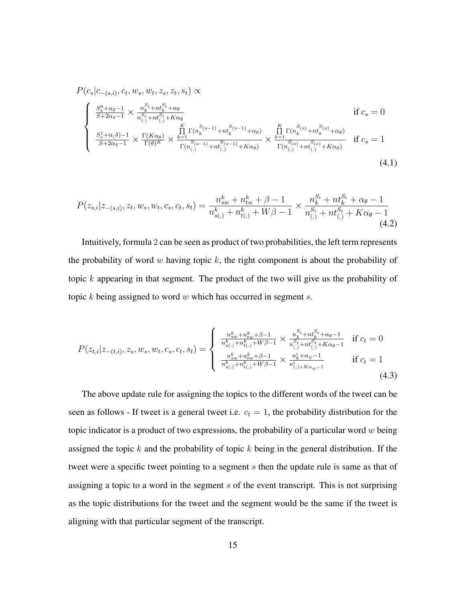$$
P(c_s|c_{-(s,i)}, c_t, w_s, w_t, z_s, z_t, s_t) \propto
$$
\n
$$
\begin{cases}\n\frac{S_s^0 + \alpha_\delta - 1}{S + 2\alpha_\delta - 1} \times \frac{n_s^{\mathcal{S}_i} + n t_s^{\mathcal{S}_i} + \alpha_\theta}{n_{(.)}^{\mathcal{S}_i} + n t_{(.)}^{\mathcal{S}_i} + K\alpha_\theta} & \text{if } c_s = 0 \\
\frac{S_s^1 + \alpha_\delta - 1}{S + 2\alpha_\delta - 1} \times \frac{\Gamma(K\alpha_\theta)}{\Gamma(\theta)^K} \times \frac{\prod_{k=1}^K \Gamma(n_k^{\mathcal{S}(s-1)} + n t_k^{\mathcal{S}(s-1)} + \alpha_\theta)}{\Gamma(n_{(.)}^{\mathcal{S}(s-1)} + n t_{(.)}^{\mathcal{S}(s-1)} + K\alpha_\theta)} \times \frac{\prod_{k=1}^K \Gamma(n_k^{\mathcal{S}(s)} + n t_k^{\mathcal{S}(s)} + \alpha_\theta)}{\Gamma(n_{(.)}^{\mathcal{S}(s)} + n t_{(.)}^{\mathcal{S}(s)} + K\alpha_\theta)} & \text{if } c_s = 1\n\end{cases}
$$
\n
$$
(4.1)
$$

$$
P(z_{s,i}|z_{-(s,i)}, z_t, w_s, w_t, c_s, c_t, s_t) = \frac{n_{sw}^k + n_{tw}^k + \beta - 1}{n_{s(.)}^k + n_{t(.)}^k + W\beta - 1} \times \frac{n_{k}^{S_i} + nt_{k}^{S_i} + \alpha_{\theta} - 1}{n_{(.)}^{S_i} + nt_{(.)}^{S_i} + K\alpha_{\theta} - 1}
$$
\n(4.2)

Intuitively, formula 2 can be seen as product of two probabilities, the left term represents the probability of word w having topic  $k$ , the right component is about the probability of topic k appearing in that segment. The product of the two will give us the probability of topic  $k$  being assigned to word  $w$  which has occurred in segment  $s$ .

$$
P(z_{t,i}|z_{-(t,i)}, z_s, w_s, w_t, c_s, c_t, s_t) = \begin{cases} \frac{n_{sw}^k + n_{tw}^k + \beta - 1}{n_{s(\cdot)}^k + n_{t(\cdot)}^k + W\beta - 1} \times \frac{n_{s}^{S_i} + n_{ts}^{S_i} + \alpha_{\theta} - 1}{n_{(\cdot)}^S + n_{t(\cdot)}^S + K\alpha_{\theta} - 1} & \text{if } c_t = 0\\ \frac{n_{sw}^k + n_{tw}^k + \beta - 1}{n_{s(\cdot)}^k + n_{t(\cdot)}^k + W\beta - 1} \times \frac{n_{s}^k + \alpha_{\psi} - 1}{n_{(\cdot)}^k + K\alpha_{\psi} - 1} & \text{if } c_t = 1 \end{cases}
$$
(4.3)

The above update rule for assigning the topics to the different words of the tweet can be seen as follows - If tweet is a general tweet i.e.  $c_t = 1$ , the probability distribution for the topic indicator is a product of two expressions, the probability of a particular word  $w$  being assigned the topic  $k$  and the probability of topic  $k$  being in the general distribution. If the tweet were a specific tweet pointing to a segment s then the update rule is same as that of assigning a topic to a word in the segment  $s$  of the event transcript. This is not surprising as the topic distributions for the tweet and the segment would be the same if the tweet is aligning with that particular segment of the transcript.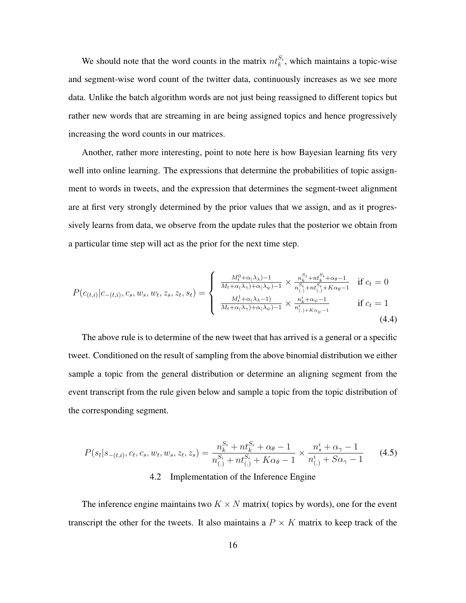We should note that the word counts in the matrix  $nt_k^{S_i}$ , which maintains a topic-wise and segment-wise word count of the twitter data, continuously increases as we see more data. Unlike the batch algorithm words are not just being reassigned to different topics but rather new words that are streaming in are being assigned topics and hence progressively increasing the word counts in our matrices.

Another, rather more interesting, point to note here is how Bayesian learning fits very well into online learning. The expressions that determine the probabilities of topic assignment to words in tweets, and the expression that determines the segment-tweet alignment are at first very strongly determined by the prior values that we assign, and as it progressively learns from data, we observe from the update rules that the posterior we obtain from a particular time step will act as the prior for the next time step.

$$
P(c_{(t,i)}|c_{-(t,i)}, c_s, w_s, w_t, z_s, z_t, s_t) = \begin{cases} \frac{M_t^0 + \alpha(\lambda_\lambda) - 1}{M_t + \alpha(\lambda_\gamma) + \alpha(\lambda_\psi) - 1} \times \frac{n_k^{S_i} + nt_k^{S_i} + \alpha_\theta - 1}{n_{(.)}^{S_i} + nt_{(.)}^{S_i} + K\alpha_\theta - 1} & \text{if } c_t = 0\\ \frac{M_t^1 + \alpha(\lambda_\lambda - 1)}{M_t + \alpha(\lambda_\gamma) + \alpha(\lambda_\psi) - 1} \times \frac{n_k^i + \alpha_\psi - 1}{n_{(.) + K\alpha_\psi - 1}^i} & \text{if } c_t = 1 \end{cases}
$$
(4.4)

The above rule is to determine of the new tweet that has arrived is a general or a specific tweet. Conditioned on the result of sampling from the above binomial distribution we either sample a topic from the general distribution or determine an aligning segment from the event transcript from the rule given below and sample a topic from the topic distribution of the corresponding segment.

$$
P(s_t|s_{-(t,i)}, c_t, c_s, w_t, w_s, z_t, z_s) = \frac{n_k^{S_i} + nt_k^{S_i} + \alpha_\theta - 1}{n_{(.)}^{S_i} + nt_{(.)}^{S_i} + K\alpha_\theta - 1} \times \frac{n_s^i + \alpha_\gamma - 1}{n_{(.)}^i + S\alpha_\gamma - 1}
$$
(4.5)

## 4.2 Implementation of the Inference Engine

The inference engine maintains two  $K \times N$  matrix( topics by words), one for the event transcript the other for the tweets. It also maintains a  $P \times K$  matrix to keep track of the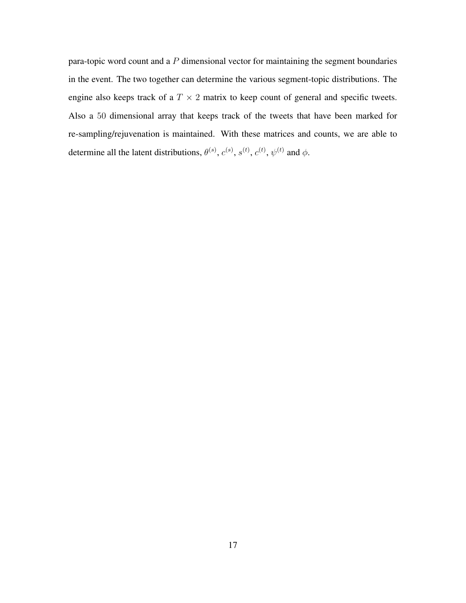para-topic word count and a  $P$  dimensional vector for maintaining the segment boundaries in the event. The two together can determine the various segment-topic distributions. The engine also keeps track of a  $T \times 2$  matrix to keep count of general and specific tweets. Also a 50 dimensional array that keeps track of the tweets that have been marked for re-sampling/rejuvenation is maintained. With these matrices and counts, we are able to determine all the latent distributions,  $\theta^{(s)}$ ,  $c^{(s)}$ ,  $s^{(t)}$ ,  $c^{(t)}$ ,  $\psi^{(t)}$  and  $\phi$ .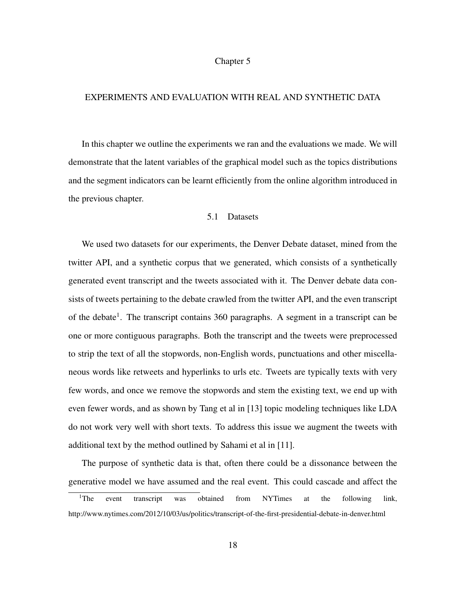#### Chapter 5

### EXPERIMENTS AND EVALUATION WITH REAL AND SYNTHETIC DATA

In this chapter we outline the experiments we ran and the evaluations we made. We will demonstrate that the latent variables of the graphical model such as the topics distributions and the segment indicators can be learnt efficiently from the online algorithm introduced in the previous chapter.

#### 5.1 Datasets

We used two datasets for our experiments, the Denver Debate dataset, mined from the twitter API, and a synthetic corpus that we generated, which consists of a synthetically generated event transcript and the tweets associated with it. The Denver debate data consists of tweets pertaining to the debate crawled from the twitter API, and the even transcript of the debate<sup>1</sup>. The transcript contains 360 paragraphs. A segment in a transcript can be one or more contiguous paragraphs. Both the transcript and the tweets were preprocessed to strip the text of all the stopwords, non-English words, punctuations and other miscellaneous words like retweets and hyperlinks to urls etc. Tweets are typically texts with very few words, and once we remove the stopwords and stem the existing text, we end up with even fewer words, and as shown by Tang et al in [13] topic modeling techniques like LDA do not work very well with short texts. To address this issue we augment the tweets with additional text by the method outlined by Sahami et al in [11].

The purpose of synthetic data is that, often there could be a dissonance between the generative model we have assumed and the real event. This could cascade and affect the

<sup>&</sup>lt;sup>1</sup>The event transcript was obtained from NYTimes at the following link, http://www.nytimes.com/2012/10/03/us/politics/transcript-of-the-first-presidential-debate-in-denver.html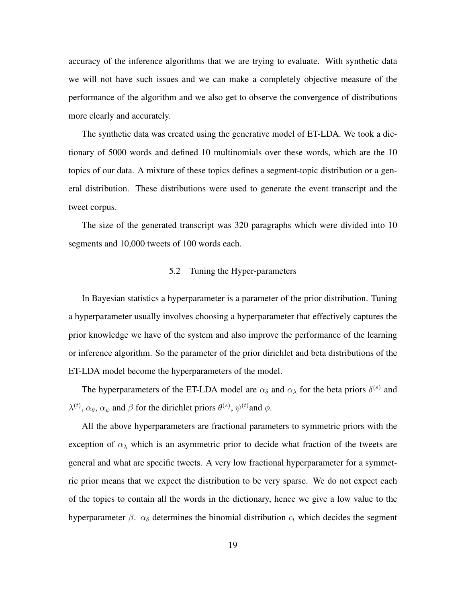accuracy of the inference algorithms that we are trying to evaluate. With synthetic data we will not have such issues and we can make a completely objective measure of the performance of the algorithm and we also get to observe the convergence of distributions more clearly and accurately.

The synthetic data was created using the generative model of ET-LDA. We took a dictionary of 5000 words and defined 10 multinomials over these words, which are the 10 topics of our data. A mixture of these topics defines a segment-topic distribution or a general distribution. These distributions were used to generate the event transcript and the tweet corpus.

The size of the generated transcript was 320 paragraphs which were divided into 10 segments and 10,000 tweets of 100 words each.

#### 5.2 Tuning the Hyper-parameters

In Bayesian statistics a hyperparameter is a parameter of the prior distribution. Tuning a hyperparameter usually involves choosing a hyperparameter that effectively captures the prior knowledge we have of the system and also improve the performance of the learning or inference algorithm. So the parameter of the prior dirichlet and beta distributions of the ET-LDA model become the hyperparameters of the model.

The hyperparameters of the ET-LDA model are  $\alpha_{\delta}$  and  $\alpha_{\lambda}$  for the beta priors  $\delta^{(s)}$  and  $\lambda^{(t)}$ ,  $\alpha_{\theta}$ ,  $\alpha_{\psi}$  and  $\beta$  for the dirichlet priors  $\theta^{(s)}$ ,  $\psi^{(t)}$  and  $\phi$ .

All the above hyperparameters are fractional parameters to symmetric priors with the exception of  $\alpha_{\lambda}$  which is an asymmetric prior to decide what fraction of the tweets are general and what are specific tweets. A very low fractional hyperparameter for a symmetric prior means that we expect the distribution to be very sparse. We do not expect each of the topics to contain all the words in the dictionary, hence we give a low value to the hyperparameter  $\beta$ .  $\alpha_{\delta}$  determines the binomial distribution  $c_t$  which decides the segment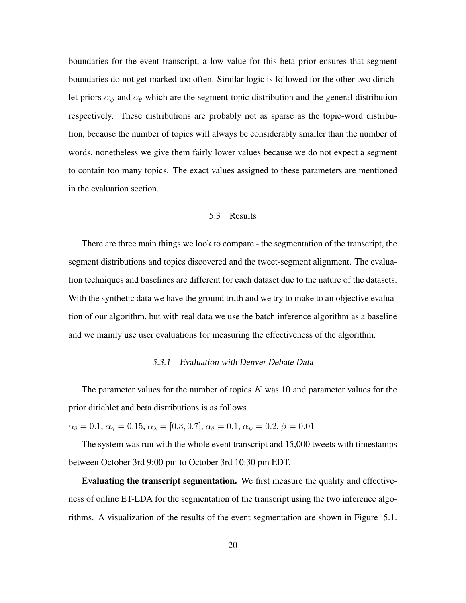boundaries for the event transcript, a low value for this beta prior ensures that segment boundaries do not get marked too often. Similar logic is followed for the other two dirichlet priors  $\alpha_{\psi}$  and  $\alpha_{\theta}$  which are the segment-topic distribution and the general distribution respectively. These distributions are probably not as sparse as the topic-word distribution, because the number of topics will always be considerably smaller than the number of words, nonetheless we give them fairly lower values because we do not expect a segment to contain too many topics. The exact values assigned to these parameters are mentioned in the evaluation section.

#### 5.3 Results

There are three main things we look to compare - the segmentation of the transcript, the segment distributions and topics discovered and the tweet-segment alignment. The evaluation techniques and baselines are different for each dataset due to the nature of the datasets. With the synthetic data we have the ground truth and we try to make to an objective evaluation of our algorithm, but with real data we use the batch inference algorithm as a baseline and we mainly use user evaluations for measuring the effectiveness of the algorithm.

### 5.3.1 Evaluation with Denver Debate Data

The parameter values for the number of topics  $K$  was 10 and parameter values for the prior dirichlet and beta distributions is as follows

 $\alpha_{\delta} = 0.1, \alpha_{\gamma} = 0.15, \alpha_{\lambda} = [0.3, 0.7], \alpha_{\theta} = 0.1, \alpha_{\psi} = 0.2, \beta = 0.01$ 

The system was run with the whole event transcript and 15,000 tweets with timestamps between October 3rd 9:00 pm to October 3rd 10:30 pm EDT.

Evaluating the transcript segmentation. We first measure the quality and effectiveness of online ET-LDA for the segmentation of the transcript using the two inference algorithms. A visualization of the results of the event segmentation are shown in Figure 5.1.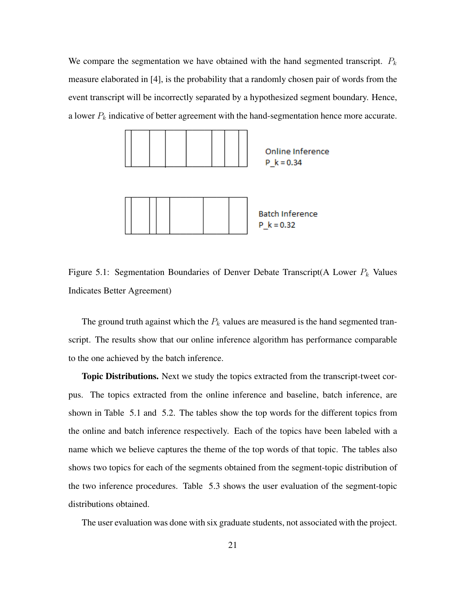We compare the segmentation we have obtained with the hand segmented transcript.  $P_k$ measure elaborated in [4], is the probability that a randomly chosen pair of words from the event transcript will be incorrectly separated by a hypothesized segment boundary. Hence, a lower  $P_k$  indicative of better agreement with the hand-segmentation hence more accurate.



Figure 5.1: Segmentation Boundaries of Denver Debate Transcript(A Lower  $P_k$  Values Indicates Better Agreement)

The ground truth against which the  $P_k$  values are measured is the hand segmented transcript. The results show that our online inference algorithm has performance comparable to the one achieved by the batch inference.

Topic Distributions. Next we study the topics extracted from the transcript-tweet corpus. The topics extracted from the online inference and baseline, batch inference, are shown in Table 5.1 and 5.2. The tables show the top words for the different topics from the online and batch inference respectively. Each of the topics have been labeled with a name which we believe captures the theme of the top words of that topic. The tables also shows two topics for each of the segments obtained from the segment-topic distribution of the two inference procedures. Table 5.3 shows the user evaluation of the segment-topic distributions obtained.

The user evaluation was done with six graduate students, not associated with the project.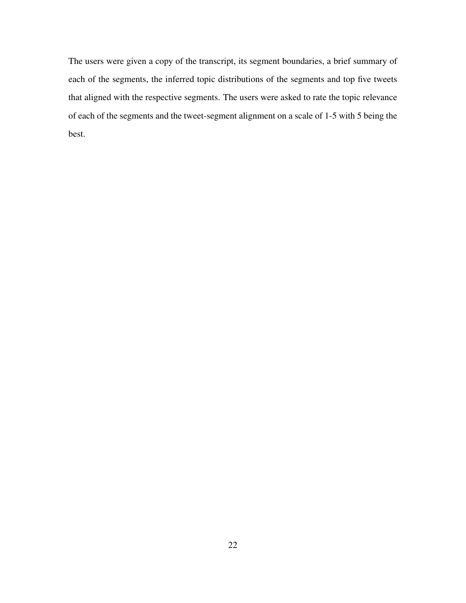The users were given a copy of the transcript, its segment boundaries, a brief summary of each of the segments, the inferred topic distributions of the segments and top five tweets that aligned with the respective segments. The users were asked to rate the topic relevance of each of the segments and the tweet-segment alignment on a scale of 1-5 with 5 being the best.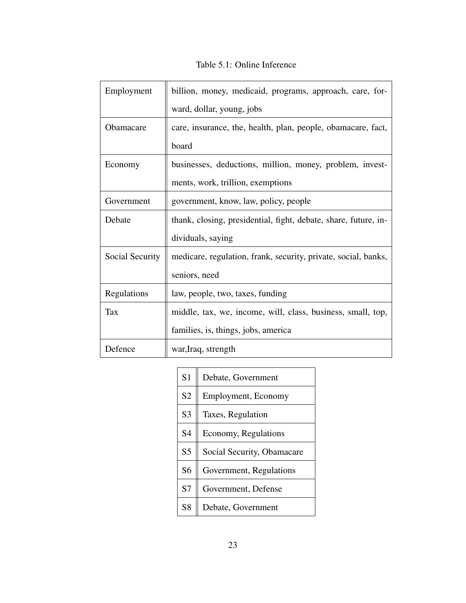Table 5.1: Online Inference

| Employment       | billion, money, medicaid, programs, approach, care, for-        |
|------------------|-----------------------------------------------------------------|
|                  | ward, dollar, young, jobs                                       |
| <b>Obamacare</b> | care, insurance, the, health, plan, people, obamacare, fact,    |
|                  | board                                                           |
| Economy          | businesses, deductions, million, money, problem, invest-        |
|                  | ments, work, trillion, exemptions                               |
| Government       | government, know, law, policy, people                           |
| Debate           | thank, closing, presidential, fight, debate, share, future, in- |
|                  | dividuals, saying                                               |
| Social Security  | medicare, regulation, frank, security, private, social, banks,  |
|                  | seniors, need                                                   |
| Regulations      | law, people, two, taxes, funding                                |
| Tax              | middle, tax, we, income, will, class, business, small, top,     |
|                  | families, is, things, jobs, america                             |
| Defence          | war, Iraq, strength                                             |

| S <sub>1</sub> | Debate, Government         |
|----------------|----------------------------|
| S <sub>2</sub> | Employment, Economy        |
| S <sub>3</sub> | Taxes, Regulation          |
| S <sub>4</sub> | Economy, Regulations       |
| S <sub>5</sub> | Social Security, Obamacare |
| S <sub>6</sub> | Government, Regulations    |
| S7             | Government, Defense        |
| S <sub>8</sub> | Debate, Government         |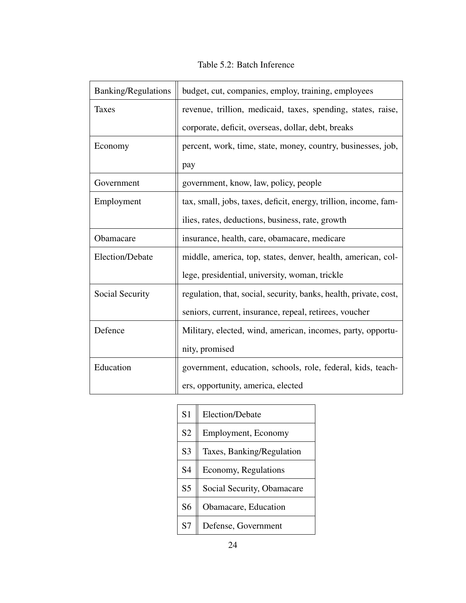| <b>Banking/Regulations</b> | budget, cut, companies, employ, training, employees               |
|----------------------------|-------------------------------------------------------------------|
| <b>Taxes</b>               | revenue, trillion, medicaid, taxes, spending, states, raise,      |
|                            | corporate, deficit, overseas, dollar, debt, breaks                |
| Economy                    | percent, work, time, state, money, country, businesses, job,      |
|                            | pay                                                               |
| Government                 | government, know, law, policy, people                             |
| Employment                 | tax, small, jobs, taxes, deficit, energy, trillion, income, fam-  |
|                            | ilies, rates, deductions, business, rate, growth                  |
| Obamacare                  | insurance, health, care, obamacare, medicare                      |
| Election/Debate            | middle, america, top, states, denver, health, american, col-      |
|                            | lege, presidential, university, woman, trickle                    |
| Social Security            | regulation, that, social, security, banks, health, private, cost, |
|                            | seniors, current, insurance, repeal, retirees, voucher            |
| Defence                    | Military, elected, wind, american, incomes, party, opportu-       |
|                            | nity, promised                                                    |
| Education                  | government, education, schools, role, federal, kids, teach-       |
|                            | ers, opportunity, america, elected                                |

Table 5.2: Batch Inference

| S <sub>1</sub> | Election/Debate            |
|----------------|----------------------------|
| S <sub>2</sub> | Employment, Economy        |
| S <sub>3</sub> | Taxes, Banking/Regulation  |
| S <sub>4</sub> | Economy, Regulations       |
| S <sub>5</sub> | Social Security, Obamacare |
| S6             | Obamacare, Education       |
| S7             | Defense, Government        |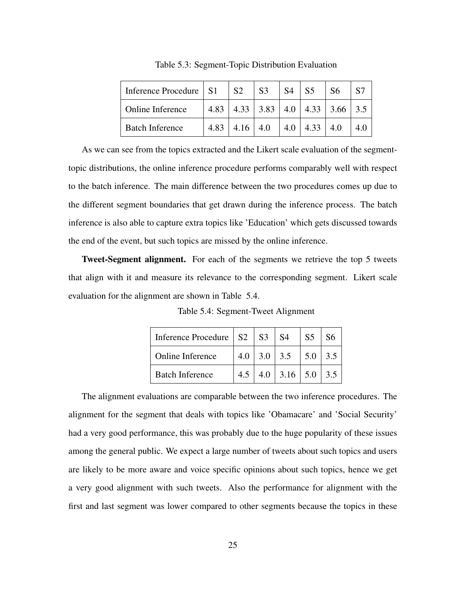| Inference Procedure   S1 | <b>S2</b>                     | S <sub>3</sub> | <b>S4</b> | S <sub>5</sub>     | S <sub>6</sub>                               |     |
|--------------------------|-------------------------------|----------------|-----------|--------------------|----------------------------------------------|-----|
| Online Inference         |                               |                |           |                    | 4.83   4.33   3.83   4.0   4.33   3.66   3.5 |     |
| <b>Batch Inference</b>   | 4.83 $\vert$ 4.16 $\vert$ 4.0 |                |           | $4.0$   4.33   4.0 |                                              | 4.0 |

Table 5.3: Segment-Topic Distribution Evaluation

As we can see from the topics extracted and the Likert scale evaluation of the segmenttopic distributions, the online inference procedure performs comparably well with respect to the batch inference. The main difference between the two procedures comes up due to the different segment boundaries that get drawn during the inference process. The batch inference is also able to capture extra topics like 'Education' which gets discussed towards the end of the event, but such topics are missed by the online inference.

Tweet-Segment alignment. For each of the segments we retrieve the top 5 tweets that align with it and measure its relevance to the corresponding segment. Likert scale evaluation for the alignment are shown in Table 5.4.

| Inference Procedure $\vert$ S2 $\vert$ S3 $\vert$ S4 |     |                          | S <sub>5</sub>    | 86  |
|------------------------------------------------------|-----|--------------------------|-------------------|-----|
| Online Inference                                     | 4.0 | 3.0 3.5                  | $\vert 5.0 \vert$ | 3.5 |
| <b>Batch Inference</b>                               |     | $4.0$   3.16   5.0   3.5 |                   |     |

Table 5.4: Segment-Tweet Alignment

The alignment evaluations are comparable between the two inference procedures. The alignment for the segment that deals with topics like 'Obamacare' and 'Social Security' had a very good performance, this was probably due to the huge popularity of these issues among the general public. We expect a large number of tweets about such topics and users are likely to be more aware and voice specific opinions about such topics, hence we get a very good alignment with such tweets. Also the performance for alignment with the first and last segment was lower compared to other segments because the topics in these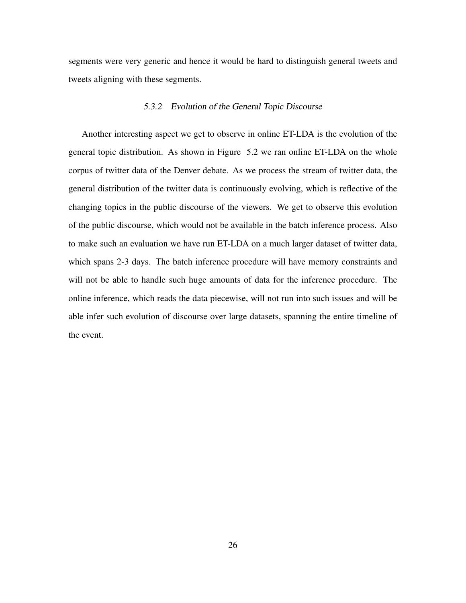segments were very generic and hence it would be hard to distinguish general tweets and tweets aligning with these segments.

### 5.3.2 Evolution of the General Topic Discourse

Another interesting aspect we get to observe in online ET-LDA is the evolution of the general topic distribution. As shown in Figure 5.2 we ran online ET-LDA on the whole corpus of twitter data of the Denver debate. As we process the stream of twitter data, the general distribution of the twitter data is continuously evolving, which is reflective of the changing topics in the public discourse of the viewers. We get to observe this evolution of the public discourse, which would not be available in the batch inference process. Also to make such an evaluation we have run ET-LDA on a much larger dataset of twitter data, which spans 2-3 days. The batch inference procedure will have memory constraints and will not be able to handle such huge amounts of data for the inference procedure. The online inference, which reads the data piecewise, will not run into such issues and will be able infer such evolution of discourse over large datasets, spanning the entire timeline of the event.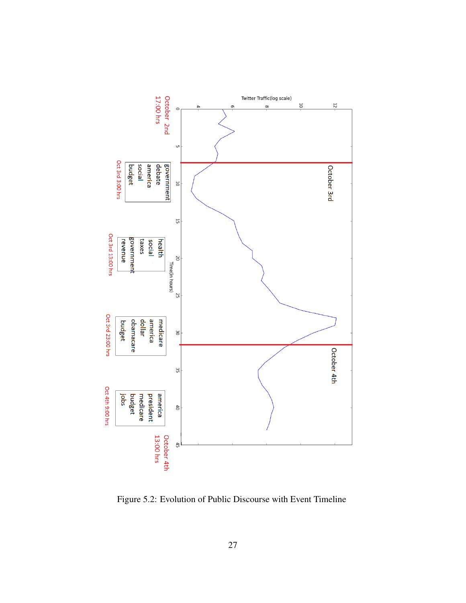

Figure 5.2: Evolution of Public Discourse with Event Timeline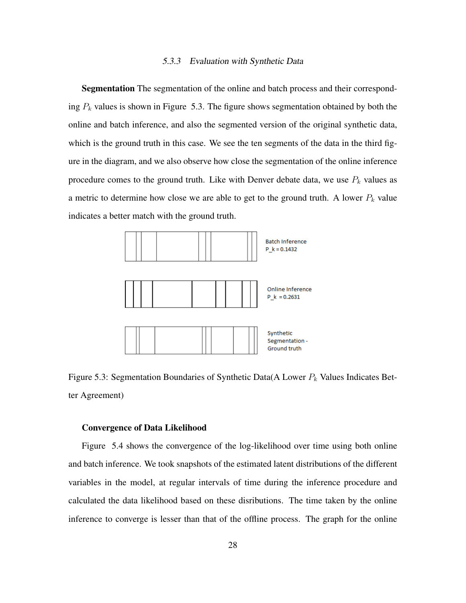#### 5.3.3 Evaluation with Synthetic Data

Segmentation The segmentation of the online and batch process and their corresponding  $P_k$  values is shown in Figure 5.3. The figure shows segmentation obtained by both the online and batch inference, and also the segmented version of the original synthetic data, which is the ground truth in this case. We see the ten segments of the data in the third figure in the diagram, and we also observe how close the segmentation of the online inference procedure comes to the ground truth. Like with Denver debate data, we use  $P_k$  values as a metric to determine how close we are able to get to the ground truth. A lower  $P_k$  value indicates a better match with the ground truth.



Figure 5.3: Segmentation Boundaries of Synthetic Data(A Lower  $P_k$  Values Indicates Better Agreement)

#### Convergence of Data Likelihood

Figure 5.4 shows the convergence of the log-likelihood over time using both online and batch inference. We took snapshots of the estimated latent distributions of the different variables in the model, at regular intervals of time during the inference procedure and calculated the data likelihood based on these disributions. The time taken by the online inference to converge is lesser than that of the offline process. The graph for the online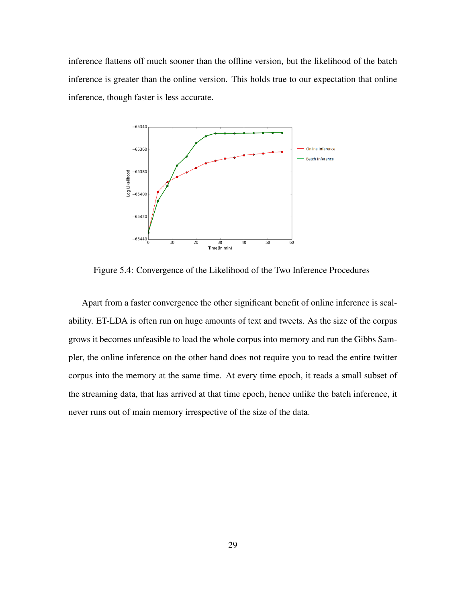inference flattens off much sooner than the offline version, but the likelihood of the batch inference is greater than the online version. This holds true to our expectation that online inference, though faster is less accurate.



Figure 5.4: Convergence of the Likelihood of the Two Inference Procedures

Apart from a faster convergence the other significant benefit of online inference is scalability. ET-LDA is often run on huge amounts of text and tweets. As the size of the corpus grows it becomes unfeasible to load the whole corpus into memory and run the Gibbs Sampler, the online inference on the other hand does not require you to read the entire twitter corpus into the memory at the same time. At every time epoch, it reads a small subset of the streaming data, that has arrived at that time epoch, hence unlike the batch inference, it never runs out of main memory irrespective of the size of the data.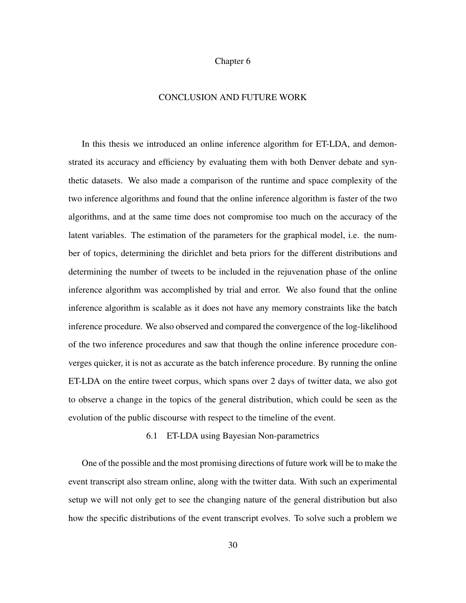### Chapter 6

### CONCLUSION AND FUTURE WORK

In this thesis we introduced an online inference algorithm for ET-LDA, and demonstrated its accuracy and efficiency by evaluating them with both Denver debate and synthetic datasets. We also made a comparison of the runtime and space complexity of the two inference algorithms and found that the online inference algorithm is faster of the two algorithms, and at the same time does not compromise too much on the accuracy of the latent variables. The estimation of the parameters for the graphical model, i.e. the number of topics, determining the dirichlet and beta priors for the different distributions and determining the number of tweets to be included in the rejuvenation phase of the online inference algorithm was accomplished by trial and error. We also found that the online inference algorithm is scalable as it does not have any memory constraints like the batch inference procedure. We also observed and compared the convergence of the log-likelihood of the two inference procedures and saw that though the online inference procedure converges quicker, it is not as accurate as the batch inference procedure. By running the online ET-LDA on the entire tweet corpus, which spans over 2 days of twitter data, we also got to observe a change in the topics of the general distribution, which could be seen as the evolution of the public discourse with respect to the timeline of the event.

## 6.1 ET-LDA using Bayesian Non-parametrics

One of the possible and the most promising directions of future work will be to make the event transcript also stream online, along with the twitter data. With such an experimental setup we will not only get to see the changing nature of the general distribution but also how the specific distributions of the event transcript evolves. To solve such a problem we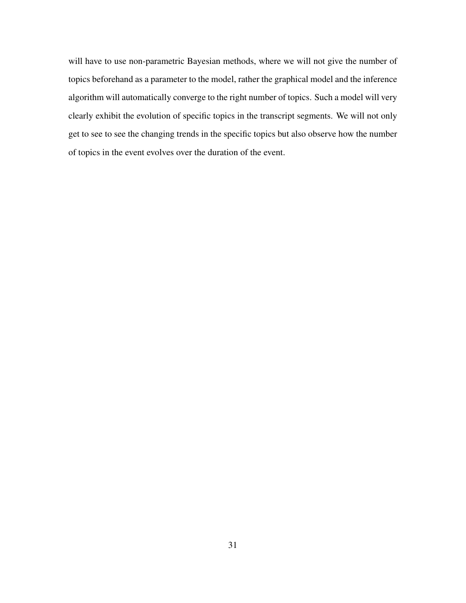will have to use non-parametric Bayesian methods, where we will not give the number of topics beforehand as a parameter to the model, rather the graphical model and the inference algorithm will automatically converge to the right number of topics. Such a model will very clearly exhibit the evolution of specific topics in the transcript segments. We will not only get to see to see the changing trends in the specific topics but also observe how the number of topics in the event evolves over the duration of the event.